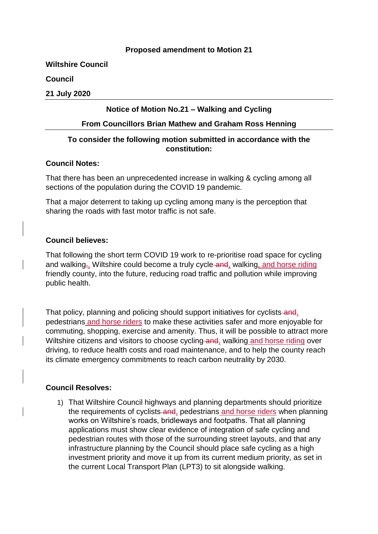## **Proposed amendment to Motion 21**

**Wiltshire Council**

**Council**

**21 July 2020**

## **Notice of Motion No.21 – Walking and Cycling**

#### **From Councillors Brian Mathew and Graham Ross Henning**

# **To consider the following motion submitted in accordance with the constitution:**

### **Council Notes:**

That there has been an unprecedented increase in walking & cycling among all sections of the population during the COVID 19 pandemic.

That a major deterrent to taking up cycling among many is the perception that sharing the roads with fast motor traffic is not safe.

### **Council believes:**

That following the short term COVID 19 work to re-prioritise road space for cycling and walking<sub> $\bar{x}$ </sub>. Wiltshire could become a truly cycle-and, walking, and horse riding friendly county, into the future, reducing road traffic and pollution while improving public health.

That policy, planning and policing should support initiatives for cyclists and, pedestrians and horse riders to make these activities safer and more enjoyable for commuting, shopping, exercise and amenity. Thus, it will be possible to attract more Wiltshire citizens and visitors to choose cycling and, walking and horse riding over driving, to reduce health costs and road maintenance, and to help the county reach its climate emergency commitments to reach carbon neutrality by 2030.

# **Council Resolves:**

1) That Wiltshire Council highways and planning departments should prioritize the requirements of cyclists-and, pedestrians and horse riders when planning works on Wiltshire's roads, bridleways and footpaths. That all planning applications must show clear evidence of integration of safe cycling and pedestrian routes with those of the surrounding street layouts, and that any infrastructure planning by the Council should place safe cycling as a high investment priority and move it up from its current medium priority, as set in the current Local Transport Plan (LPT3) to sit alongside walking.